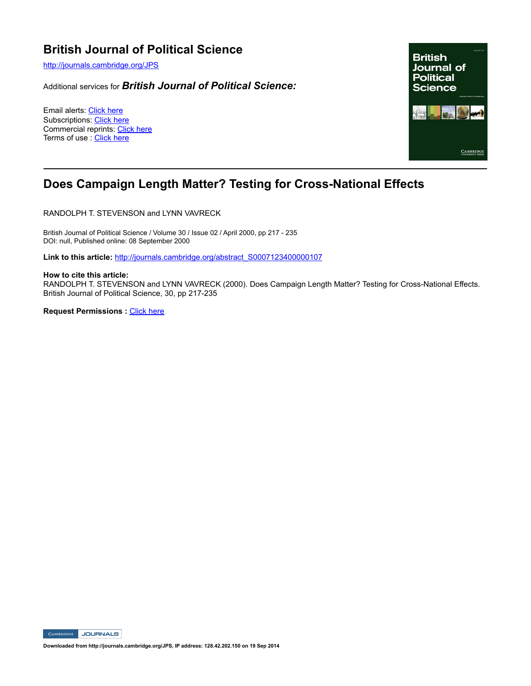# **British Journal of Political Science**

http://journals.cambridge.org/JPS

Additional services for *British Journal of Political Science:*

Email alerts: Click here Subscriptions: Click here Commercial reprints: Click here Terms of use : Click here



# **Does Campaign Length Matter? Testing for Cross-National Effects**

RANDOLPH T. STEVENSON and LYNN VAVRECK

British Journal of Political Science / Volume 30 / Issue 02 / April 2000, pp 217 - 235 DOI: null, Published online: 08 September 2000

Link to this article: http://journals.cambridge.org/abstract\_S0007123400000107

#### **How to cite this article:**

RANDOLPH T. STEVENSON and LYNN VAVRECK (2000). Does Campaign Length Matter? Testing for Cross-National Effects. British Journal of Political Science, 30, pp 217-235

**Request Permissions :** Click here

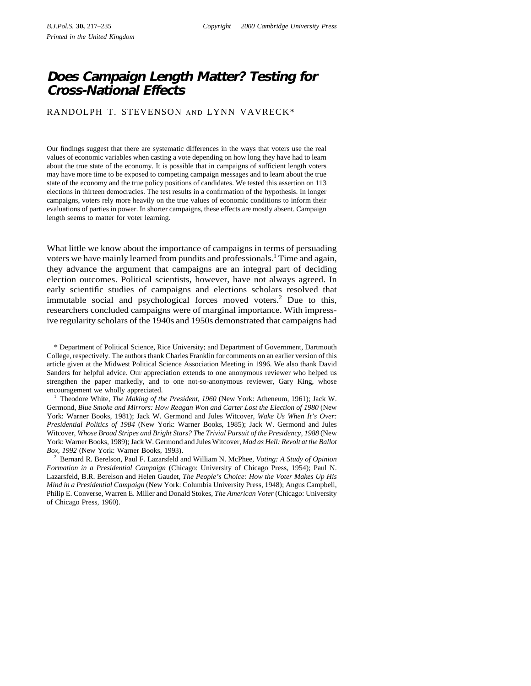# **Does Campaign Length Matter? Testing for Cross-National Effects**

# RANDOLPH T. STEVENSON AND LYNN VAVRECK\*

Our findings suggest that there are systematic differences in the ways that voters use the real values of economic variables when casting a vote depending on how long they have had to learn about the true state of the economy. It is possible that in campaigns of sufficient length voters may have more time to be exposed to competing campaign messages and to learn about the true state of the economy and the true policy positions of candidates. We tested this assertion on 113 elections in thirteen democracies. The test results in a confirmation of the hypothesis. In longer campaigns, voters rely more heavily on the true values of economic conditions to inform their evaluations of parties in power. In shorter campaigns, these effects are mostly absent. Campaign length seems to matter for voter learning.

What little we know about the importance of campaigns in terms of persuading voters we have mainly learned from pundits and professionals.<sup>1</sup> Time and again, they advance the argument that campaigns are an integral part of deciding election outcomes. Political scientists, however, have not always agreed. In early scientific studies of campaigns and elections scholars resolved that immutable social and psychological forces moved voters.<sup>2</sup> Due to this, researchers concluded campaigns were of marginal importance. With impressive regularity scholars of the 1940s and 1950s demonstrated that campaigns had

\* Department of Political Science, Rice University; and Department of Government, Dartmouth College, respectively. The authors thank Charles Franklin for comments on an earlier version of this article given at the Midwest Political Science Association Meeting in 1996. We also thank David Sanders for helpful advice. Our appreciation extends to one anonymous reviewer who helped us strengthen the paper markedly, and to one not-so-anonymous reviewer, Gary King, whose encouragement we wholly appreciated.

<sup>1</sup> Theodore White, *The Making of the President, 1960* (New York: Atheneum, 1961); Jack W. Germond, *Blue Smoke and Mirrors: How Reagan Won and Carter Lost the Election of 1980* (New York: Warner Books, 1981); Jack W. Germond and Jules Witcover, *Wake Us When It's Over: Presidential Politics of 1984* (New York: Warner Books, 1985); Jack W. Germond and Jules Witcover, *Whose Broad Stripes and Bright Stars? The Trivial Pursuit of the Presidency, 1988* (New York: Warner Books, 1989); Jack W. Germond and Jules Witcover, *Mad as Hell: Revolt at the Ballot Box, 1992* (New York: Warner Books, 1993).

<sup>2</sup> Bernard R. Berelson, Paul F. Lazarsfeld and William N. McPhee, *Voting: A Study of Opinion Formation in a Presidential Campaign* (Chicago: University of Chicago Press, 1954); Paul N. Lazarsfeld, B.R. Berelson and Helen Gaudet, *The People's Choice: How the Voter Makes Up His Mind in a Presidential Campaign* (New York: Columbia University Press, 1948); Angus Campbell, Philip E. Converse, Warren E. Miller and Donald Stokes, *The American Voter* (Chicago: University of Chicago Press, 1960).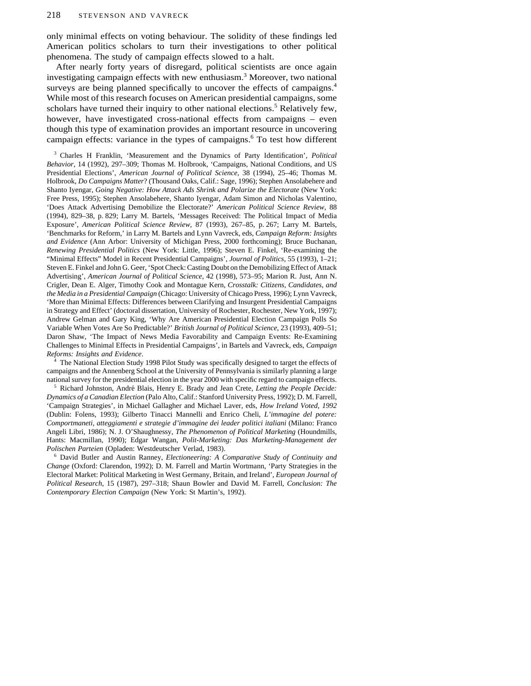only minimal effects on voting behaviour. The solidity of these findings led American politics scholars to turn their investigations to other political phenomena. The study of campaign effects slowed to a halt.

After nearly forty years of disregard, political scientists are once again investigating campaign effects with new enthusiasm.3 Moreover, two national surveys are being planned specifically to uncover the effects of campaigns.<sup>4</sup> While most of this research focuses on American presidential campaigns, some scholars have turned their inquiry to other national elections.<sup>5</sup> Relatively few, however, have investigated cross-national effects from campaigns – even though this type of examination provides an important resource in uncovering campaign effects: variance in the types of campaigns.<sup>6</sup> To test how different

<sup>3</sup> Charles H Franklin, 'Measurement and the Dynamics of Party Identification', *Political Behavior*, 14 (1992), 297–309; Thomas M. Holbrook, 'Campaigns, National Conditions, and US Presidential Elections', *American Journal of Political Science*, 38 (1994), 25–46; Thomas M. Holbrook, *Do Campaigns Matter*? (Thousand Oaks, Calif.: Sage, 1996); Stephen Ansolabehere and Shanto Iyengar, *Going Negative: How Attack Ads Shrink and Polarize the Electorate* (New York: Free Press, 1995); Stephen Ansolabehere, Shanto Iyengar, Adam Simon and Nicholas Valentino, 'Does Attack Advertising Demobilize the Electorate?' *American Political Science Review*, 88 (1994), 829–38, p. 829; Larry M. Bartels, 'Messages Received: The Political Impact of Media Exposure', *American Political Science Review*, 87 (1993), 267–85, p. 267; Larry M. Bartels, 'Benchmarks for Reform,' in Larry M. Bartels and Lynn Vavreck, eds, *Campaign Reform: Insights and Evidence* (Ann Arbor: University of Michigan Press, 2000 forthcoming); Bruce Buchanan, *Renewing Presidential Politics* (New York: Little, 1996); Steven E. Finkel, 'Re-examining the "Minimal Effects" Model in Recent Presidential Campaigns', *Journal of Politics*, 55 (1993), 1–21; Steven E. Finkel and John G. Geer, 'Spot Check: Casting Doubt on the Demobilizing Effect of Attack Advertising', *American Journal of Political Science*, 42 (1998), 573–95; Marion R. Just, Ann N. Crigler, Dean E. Alger, Timothy Cook and Montague Kern, *Crosstalk: Citizens, Candidates, and the Media in a Presidential Campaign* (Chicago: University of Chicago Press, 1996); Lynn Vavreck, 'More than Minimal Effects: Differences between Clarifying and Insurgent Presidential Campaigns in Strategy and Effect' (doctoral dissertation, University of Rochester, Rochester, New York, 1997); Andrew Gelman and Gary King, 'Why Are American Presidential Election Campaign Polls So Variable When Votes Are So Predictable?' *British Journal of Political Science*, 23 (1993), 409–51; Daron Shaw, 'The Impact of News Media Favorability and Campaign Events: Re-Examining Challenges to Minimal Effects in Presidential Campaigns', in Bartels and Vavreck, eds, *Campaign Reforms: Insights and Evidence*.

The National Election Study 1998 Pilot Study was specifically designed to target the effects of campaigns and the Annenberg School at the University of Pennsylvania is similarly planning a large national survey for the presidential election in the year 2000 with specific regard to campaign effects.

<sup>5</sup> Richard Johnston, André Blais, Henry E. Brady and Jean Crete, *Letting the People Decide: Dynamics of a Canadian Election* (Palo Alto, Calif.: Stanford University Press, 1992); D. M. Farrell, 'Campaign Strategies', in Michael Gallagher and Michael Laver, eds, *How Ireland Voted, 1992* (Dublin: Folens, 1993); Gilberto Tinacci Mannelli and Enrico Cheli, *L'immagine del potere: Comportmaneti, atteggiamenti e strategie d'immagine dei leader politici italiani* (Milano: Franco Angeli Libri, 1986); N. J. O'Shaughnessy, *The Phenomenon of Political Marketing* (Houndmills, Hants: Macmillan, 1990); Edgar Wangan, *Polit-Marketing: Das Marketing-Management der Polischen Parteien* (Opladen: Westdeutscher Verlad, 1983).

<sup>6</sup> David Butler and Austin Ranney, *Electioneering: A Comparative Study of Continuity and Change* (Oxford: Clarendon, 1992); D. M. Farrell and Martin Wortmann, 'Party Strategies in the Electoral Market: Political Marketing in West Germany, Britain, and Ireland', *European Journal of Political Research*, 15 (1987), 297–318; Shaun Bowler and David M. Farrell, *Conclusion: The Contemporary Election Campaign* (New York: St Martin's, 1992).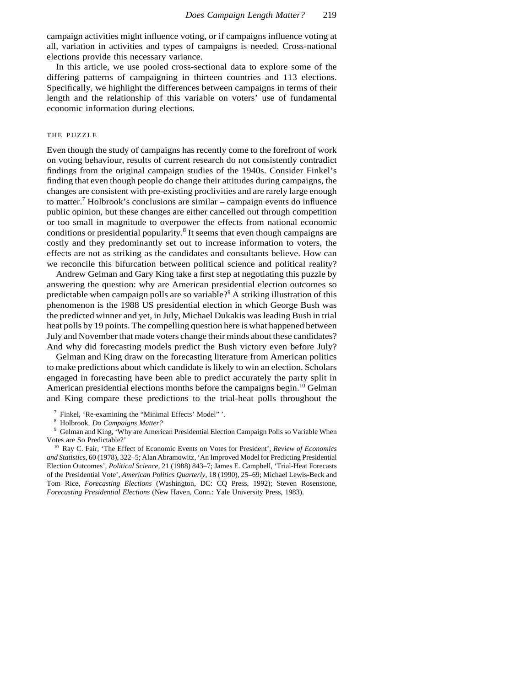campaign activities might influence voting, or if campaigns influence voting at all, variation in activities and types of campaigns is needed. Cross-national elections provide this necessary variance.

In this article, we use pooled cross-sectional data to explore some of the differing patterns of campaigning in thirteen countries and 113 elections. Specifically, we highlight the differences between campaigns in terms of their length and the relationship of this variable on voters' use of fundamental economic information during elections.

#### THE PUZZLE

Even though the study of campaigns has recently come to the forefront of work on voting behaviour, results of current research do not consistently contradict findings from the original campaign studies of the 1940s. Consider Finkel's finding that even though people do change their attitudes during campaigns, the changes are consistent with pre-existing proclivities and are rarely large enough to matter.<sup>7</sup> Holbrook's conclusions are similar – campaign events do influence public opinion, but these changes are either cancelled out through competition or too small in magnitude to overpower the effects from national economic conditions or presidential popularity.<sup>8</sup> It seems that even though campaigns are costly and they predominantly set out to increase information to voters, the effects are not as striking as the candidates and consultants believe. How can we reconcile this bifurcation between political science and political reality?

Andrew Gelman and Gary King take a first step at negotiating this puzzle by answering the question: why are American presidential election outcomes so predictable when campaign polls are so variable?<sup>9</sup> A striking illustration of this phenomenon is the 1988 US presidential election in which George Bush was the predicted winner and yet, in July, Michael Dukakis was leading Bush in trial heat polls by 19 points. The compelling question here is what happened between July and November that made voters change their minds about these candidates? And why did forecasting models predict the Bush victory even before July?

Gelman and King draw on the forecasting literature from American politics to make predictions about which candidate is likely to win an election. Scholars engaged in forecasting have been able to predict accurately the party split in American presidential elections months before the campaigns begin.<sup>10</sup> Gelman and King compare these predictions to the trial-heat polls throughout the

<sup>7</sup> Finkel, 'Re-examining the "Minimal Effects' Model" '.

<sup>8</sup> Holbrook, *Do Campaigns Matter?*

<sup>9</sup> Gelman and King, 'Why are American Presidential Election Campaign Polls so Variable When Votes are So Predictable?'

<sup>10</sup> Ray C. Fair, 'The Effect of Economic Events on Votes for President', *Review of Economics and Statistics*, 60 (1978), 322–5; Alan Abramowitz, 'An Improved Model for Predicting Presidential Election Outcomes', *Political Science*, 21 (1988) 843–7; James E. Campbell, 'Trial-Heat Forecasts of the Presidential Vote', *American Politics Quarterly*, 18 (1990), 25–69; Michael Lewis-Beck and Tom Rice, *Forecasting Elections* (Washington, DC: CQ Press, 1992); Steven Rosenstone, *Forecasting Presidential Elections* (New Haven, Conn.: Yale University Press, 1983).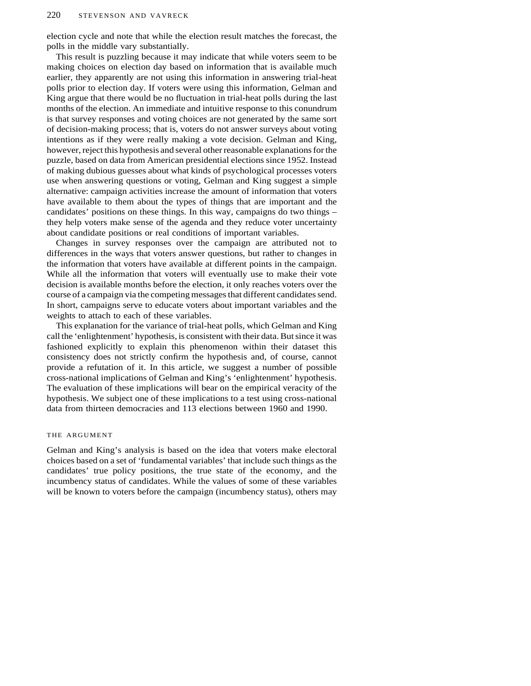election cycle and note that while the election result matches the forecast, the polls in the middle vary substantially.

This result is puzzling because it may indicate that while voters seem to be making choices on election day based on information that is available much earlier, they apparently are not using this information in answering trial-heat polls prior to election day. If voters were using this information, Gelman and King argue that there would be no fluctuation in trial-heat polls during the last months of the election. An immediate and intuitive response to this conundrum is that survey responses and voting choices are not generated by the same sort of decision-making process; that is, voters do not answer surveys about voting intentions as if they were really making a vote decision. Gelman and King, however, reject this hypothesis and several other reasonable explanations for the puzzle, based on data from American presidential elections since 1952. Instead of making dubious guesses about what kinds of psychological processes voters use when answering questions or voting, Gelman and King suggest a simple alternative: campaign activities increase the amount of information that voters have available to them about the types of things that are important and the candidates' positions on these things. In this way, campaigns do two things – they help voters make sense of the agenda and they reduce voter uncertainty about candidate positions or real conditions of important variables.

Changes in survey responses over the campaign are attributed not to differences in the ways that voters answer questions, but rather to changes in the information that voters have available at different points in the campaign. While all the information that voters will eventually use to make their vote decision is available months before the election, it only reaches voters over the course of a campaign via the competing messages that different candidates send. In short, campaigns serve to educate voters about important variables and the weights to attach to each of these variables.

This explanation for the variance of trial-heat polls, which Gelman and King call the 'enlightenment' hypothesis, is consistent with their data. But since it was fashioned explicitly to explain this phenomenon within their dataset this consistency does not strictly confirm the hypothesis and, of course, cannot provide a refutation of it. In this article, we suggest a number of possible cross-national implications of Gelman and King's 'enlightenment' hypothesis. The evaluation of these implications will bear on the empirical veracity of the hypothesis. We subject one of these implications to a test using cross-national data from thirteen democracies and 113 elections between 1960 and 1990.

### THE ARGUMENT

Gelman and King's analysis is based on the idea that voters make electoral choices based on a set of 'fundamental variables' that include such things as the candidates' true policy positions, the true state of the economy, and the incumbency status of candidates. While the values of some of these variables will be known to voters before the campaign (incumbency status), others may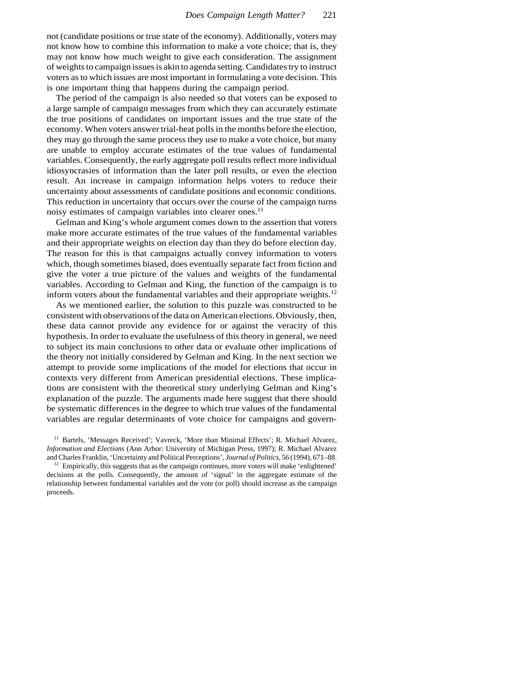not (candidate positions or true state of the economy). Additionally, voters may not know how to combine this information to make a vote choice; that is, they may not know how much weight to give each consideration. The assignment of weights to campaign issues is akin to agenda setting. Candidates try to instruct voters as to which issues are most important in formulating a vote decision. This is one important thing that happens during the campaign period.

The period of the campaign is also needed so that voters can be exposed to a large sample of campaign messages from which they can accurately estimate the true positions of candidates on important issues and the true state of the economy. When voters answer trial-heat polls in the months before the election, they may go through the same process they use to make a vote choice, but many are unable to employ accurate estimates of the true values of fundamental variables. Consequently, the early aggregate poll results reflect more individual idiosyncrasies of information than the later poll results, or even the election result. An increase in campaign information helps voters to reduce their uncertainty about assessments of candidate positions and economic conditions. This reduction in uncertainty that occurs over the course of the campaign turns noisy estimates of campaign variables into clearer ones.<sup>11</sup>

Gelman and King's whole argument comes down to the assertion that voters make more accurate estimates of the true values of the fundamental variables and their appropriate weights on election day than they do before election day. The reason for this is that campaigns actually convey information to voters which, though sometimes biased, does eventually separate fact from fiction and give the voter a true picture of the values and weights of the fundamental variables. According to Gelman and King, the function of the campaign is to inform voters about the fundamental variables and their appropriate weights.<sup>12</sup>

As we mentioned earlier, the solution to this puzzle was constructed to be consistent with observations of the data on American elections. Obviously, then, these data cannot provide any evidence for or against the veracity of this hypothesis. In order to evaluate the usefulness of this theory in general, we need to subject its main conclusions to other data or evaluate other implications of the theory not initially considered by Gelman and King. In the next section we attempt to provide some implications of the model for elections that occur in contexts very different from American presidential elections. These implications are consistent with the theoretical story underlying Gelman and King's explanation of the puzzle. The arguments made here suggest that there should be systematic differences in the degree to which true values of the fundamental variables are regular determinants of vote choice for campaigns and govern-

<sup>&</sup>lt;sup>11</sup> Bartels, 'Messages Received'; Vavreck, 'More than Minimal Effects'; R. Michael Alvarez, *Information and Elections* (Ann Arbor: University of Michigan Press, 1997); R. Michael Alvarez and Charles Franklin, 'Uncertainty and Political Perceptions', *Journal of Politics*, 56 (1994), 671–88.

<sup>&</sup>lt;sup>12</sup> Empirically, this suggests that as the campaign continues, more voters will make 'enlightened' decisions at the polls. Consequently, the amount of 'signal' in the aggregate estimate of the relationship between fundamental variables and the vote (or poll) should increase as the campaign proceeds.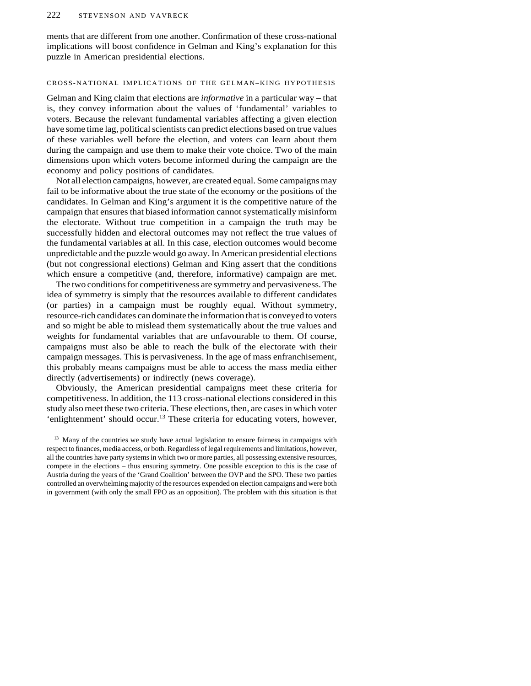ments that are different from one another. Confirmation of these cross-national implications will boost confidence in Gelman and King's explanation for this puzzle in American presidential elections.

### CROSS-NATIONAL IMPLICATIONS OF THE GELMAN–KING HYPOTHESIS

Gelman and King claim that elections are *informative* in a particular way – that is, they convey information about the values of 'fundamental' variables to voters. Because the relevant fundamental variables affecting a given election have some time lag, political scientists can predict elections based on true values of these variables well before the election, and voters can learn about them during the campaign and use them to make their vote choice. Two of the main dimensions upon which voters become informed during the campaign are the economy and policy positions of candidates.

Not all election campaigns, however, are created equal. Some campaigns may fail to be informative about the true state of the economy or the positions of the candidates. In Gelman and King's argument it is the competitive nature of the campaign that ensures that biased information cannot systematically misinform the electorate. Without true competition in a campaign the truth may be successfully hidden and electoral outcomes may not reflect the true values of the fundamental variables at all. In this case, election outcomes would become unpredictable and the puzzle would go away. In American presidential elections (but not congressional elections) Gelman and King assert that the conditions which ensure a competitive (and, therefore, informative) campaign are met.

The two conditions for competitiveness are symmetry and pervasiveness. The idea of symmetry is simply that the resources available to different candidates (or parties) in a campaign must be roughly equal. Without symmetry, resource-rich candidates can dominate the information that is conveyed to voters and so might be able to mislead them systematically about the true values and weights for fundamental variables that are unfavourable to them. Of course, campaigns must also be able to reach the bulk of the electorate with their campaign messages. This is pervasiveness. In the age of mass enfranchisement, this probably means campaigns must be able to access the mass media either directly (advertisements) or indirectly (news coverage).

Obviously, the American presidential campaigns meet these criteria for competitiveness. In addition, the 113 cross-national elections considered in this study also meet these two criteria. These elections, then, are cases in which voter 'enlightenment' should occur.<sup>13</sup> These criteria for educating voters, however,

<sup>&</sup>lt;sup>13</sup> Many of the countries we study have actual legislation to ensure fairness in campaigns with respect to finances, media access, or both. Regardless of legal requirements and limitations, however, all the countries have party systems in which two or more parties, all possessing extensive resources, compete in the elections – thus ensuring symmetry. One possible exception to this is the case of Austria during the years of the 'Grand Coalition' between the OVP and the SPO. These two parties controlled an overwhelming majority of the resources expended on election campaigns and were both in government (with only the small FPO as an opposition). The problem with this situation is that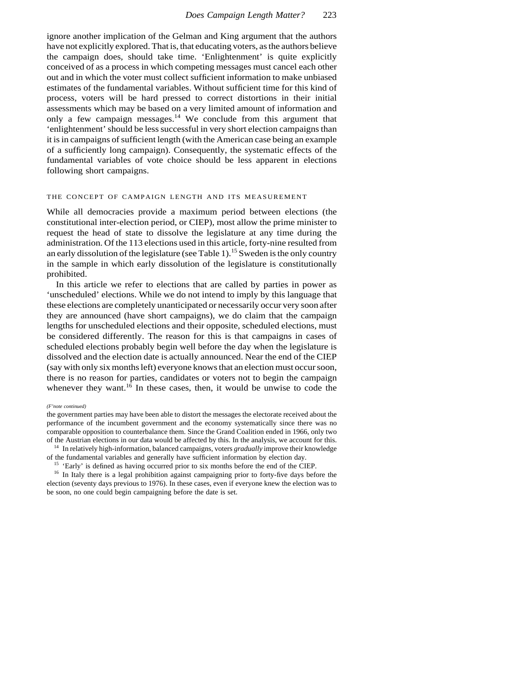ignore another implication of the Gelman and King argument that the authors have not explicitly explored. That is, that educating voters, as the authors believe the campaign does, should take time. 'Enlightenment' is quite explicitly conceived of as a process in which competing messages must cancel each other out and in which the voter must collect sufficient information to make unbiased estimates of the fundamental variables. Without sufficient time for this kind of process, voters will be hard pressed to correct distortions in their initial assessments which may be based on a very limited amount of information and only a few campaign messages.<sup>14</sup> We conclude from this argument that 'enlightenment' should be less successful in very short election campaigns than it is in campaigns of sufficient length (with the American case being an example of a sufficiently long campaign). Consequently, the systematic effects of the fundamental variables of vote choice should be less apparent in elections following short campaigns.

### THE CONCEPT OF CAMPAIGN LENGTH AND ITS MEASUREMENT

While all democracies provide a maximum period between elections (the constitutional inter-election period, or CIEP), most allow the prime minister to request the head of state to dissolve the legislature at any time during the administration. Of the 113 elections used in this article, forty-nine resulted from an early dissolution of the legislature (see Table 1).<sup>15</sup> Sweden is the only country in the sample in which early dissolution of the legislature is constitutionally prohibited.

In this article we refer to elections that are called by parties in power as 'unscheduled' elections. While we do not intend to imply by this language that these elections are completely unanticipated or necessarily occur very soon after they are announced (have short campaigns), we do claim that the campaign lengths for unscheduled elections and their opposite, scheduled elections, must be considered differently. The reason for this is that campaigns in cases of scheduled elections probably begin well before the day when the legislature is dissolved and the election date is actually announced. Near the end of the CIEP (say with only six months left) everyone knows that an election must occur soon, there is no reason for parties, candidates or voters not to begin the campaign whenever they want.<sup>16</sup> In these cases, then, it would be unwise to code the

#### *(F'note continued)*

the government parties may have been able to distort the messages the electorate received about the performance of the incumbent government and the economy systematically since there was no comparable opposition to counterbalance them. Since the Grand Coalition ended in 1966, only two of the Austrian elections in our data would be affected by this. In the analysis, we account for this.

<sup>14</sup> In relatively high-information, balanced campaigns, voters *gradually* improve their knowledge of the fundamental variables and generally have sufficient information by election day.

<sup>15</sup> 'Early' is defined as having occurred prior to six months before the end of the CIEP.

<sup>16</sup> In Italy there is a legal prohibition against campaigning prior to forty-five days before the election (seventy days previous to 1976). In these cases, even if everyone knew the election was to be soon, no one could begin campaigning before the date is set.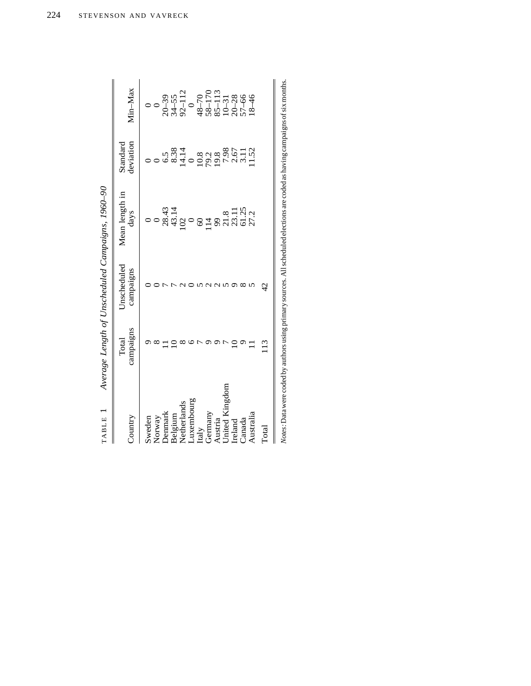| TABLE 1        | Average Length of Unscheduled Campaigns, 1960–90 |                          |                                                                                                                               |                                                                                                                                                                                                                                                                                                               |                                 |
|----------------|--------------------------------------------------|--------------------------|-------------------------------------------------------------------------------------------------------------------------------|---------------------------------------------------------------------------------------------------------------------------------------------------------------------------------------------------------------------------------------------------------------------------------------------------------------|---------------------------------|
| Country        | campaigns<br>Total                               | Unscheduled<br>campaigns | Mean length in<br>days                                                                                                        | deviation<br>Standard                                                                                                                                                                                                                                                                                         | Min-Max                         |
| Sweden         |                                                  |                          |                                                                                                                               |                                                                                                                                                                                                                                                                                                               |                                 |
| Norway         |                                                  |                          |                                                                                                                               |                                                                                                                                                                                                                                                                                                               |                                 |
| Denmark        |                                                  |                          |                                                                                                                               |                                                                                                                                                                                                                                                                                                               |                                 |
| Belgium        |                                                  |                          |                                                                                                                               |                                                                                                                                                                                                                                                                                                               |                                 |
| Netherlands    |                                                  |                          | $28.43$<br>$43.14$<br>$102$ 0                                                                                                 | $\begin{matrix} 5.38 \\ 0.381 \\ 0.41 \\ 0.281 \\ 0.41 \\ 0.41 \\ 0.41 \\ 0.41 \\ 0.41 \\ 0.41 \\ 0.41 \\ 0.41 \\ 0.41 \\ 0.41 \\ 0.41 \\ 0.41 \\ 0.41 \\ 0.41 \\ 0.41 \\ 0.41 \\ 0.41 \\ 0.42 \\ 0.42 \\ 0.43 \\ 0.44 \\ 0.44 \\ 0.45 \\ 0.45 \\ 0.45 \\ 0.47 \\ 0.48 \\ 0.49 \\ 0.49 \\ 0.49 \\ 0.49 \\ 0.$ | 20-39<br>34-55<br>92-112        |
| Luxembourg     |                                                  |                          |                                                                                                                               |                                                                                                                                                                                                                                                                                                               |                                 |
| Italy          |                                                  |                          | $\pmb{\mathcal{S}}$                                                                                                           |                                                                                                                                                                                                                                                                                                               | $48-70$<br>$58-170$<br>$85-113$ |
| Germany        |                                                  |                          | $\frac{4}{3}$                                                                                                                 |                                                                                                                                                                                                                                                                                                               |                                 |
| Austria        |                                                  |                          |                                                                                                                               |                                                                                                                                                                                                                                                                                                               |                                 |
| United Kingdom |                                                  |                          | 21.18<br>23.18<br>25.2                                                                                                        |                                                                                                                                                                                                                                                                                                               | $10-31$<br>$20-28$<br>$57-66$   |
| Ireland        |                                                  |                          |                                                                                                                               |                                                                                                                                                                                                                                                                                                               |                                 |
| Canada         |                                                  |                          |                                                                                                                               |                                                                                                                                                                                                                                                                                                               |                                 |
| Australia      |                                                  |                          |                                                                                                                               | 1.52                                                                                                                                                                                                                                                                                                          | $18 - 46$                       |
| Total          |                                                  |                          |                                                                                                                               |                                                                                                                                                                                                                                                                                                               |                                 |
|                |                                                  |                          | Notes: Data were coded by authors using primary sources. All scheduled elections are coded as having campaigns of six months. |                                                                                                                                                                                                                                                                                                               |                                 |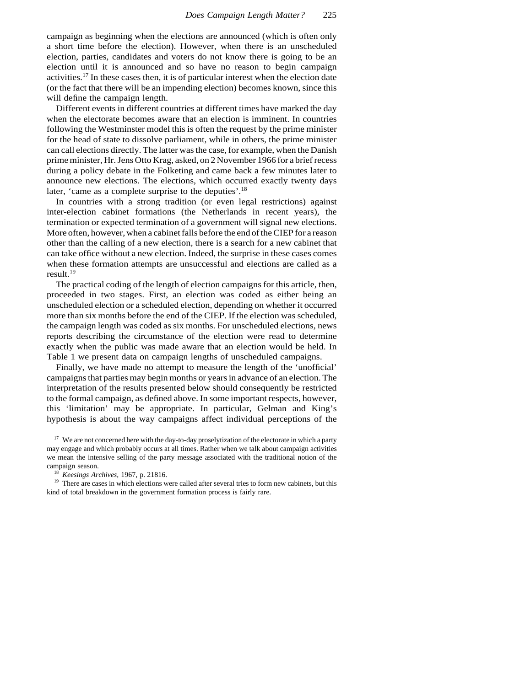campaign as beginning when the elections are announced (which is often only a short time before the election). However, when there is an unscheduled election, parties, candidates and voters do not know there is going to be an election until it is announced and so have no reason to begin campaign activities.<sup>17</sup> In these cases then, it is of particular interest when the election date (or the fact that there will be an impending election) becomes known, since this will define the campaign length.

Different events in different countries at different times have marked the day when the electorate becomes aware that an election is imminent. In countries following the Westminster model this is often the request by the prime minister for the head of state to dissolve parliament, while in others, the prime minister can call elections directly. The latter was the case, for example, when the Danish prime minister, Hr. Jens Otto Krag, asked, on 2 November 1966 for a brief recess during a policy debate in the Folketing and came back a few minutes later to announce new elections. The elections, which occurred exactly twenty days later, 'came as a complete surprise to the deputies'.<sup>18</sup>

In countries with a strong tradition (or even legal restrictions) against inter-election cabinet formations (the Netherlands in recent years), the termination or expected termination of a government will signal new elections. More often, however, when a cabinet falls before the end of the CIEP for a reason other than the calling of a new election, there is a search for a new cabinet that can take office without a new election. Indeed, the surprise in these cases comes when these formation attempts are unsuccessful and elections are called as a result.<sup>19</sup>

The practical coding of the length of election campaigns for this article, then, proceeded in two stages. First, an election was coded as either being an unscheduled election or a scheduled election, depending on whether it occurred more than six months before the end of the CIEP. If the election was scheduled, the campaign length was coded as six months. For unscheduled elections, news reports describing the circumstance of the election were read to determine exactly when the public was made aware that an election would be held. In Table 1 we present data on campaign lengths of unscheduled campaigns.

Finally, we have made no attempt to measure the length of the 'unofficial' campaigns that parties may begin months or years in advance of an election. The interpretation of the results presented below should consequently be restricted to the formal campaign, as defined above. In some important respects, however, this 'limitation' may be appropriate. In particular, Gelman and King's hypothesis is about the way campaigns affect individual perceptions of the

<sup>17</sup> We are not concerned here with the day-to-day proselytization of the electorate in which a party may engage and which probably occurs at all times. Rather when we talk about campaign activities we mean the intensive selling of the party message associated with the traditional notion of the campaign season.

<sup>18</sup> *Keesings Archives*, 1967, p. 21816.

<sup>&</sup>lt;sup>19</sup> There are cases in which elections were called after several tries to form new cabinets, but this kind of total breakdown in the government formation process is fairly rare.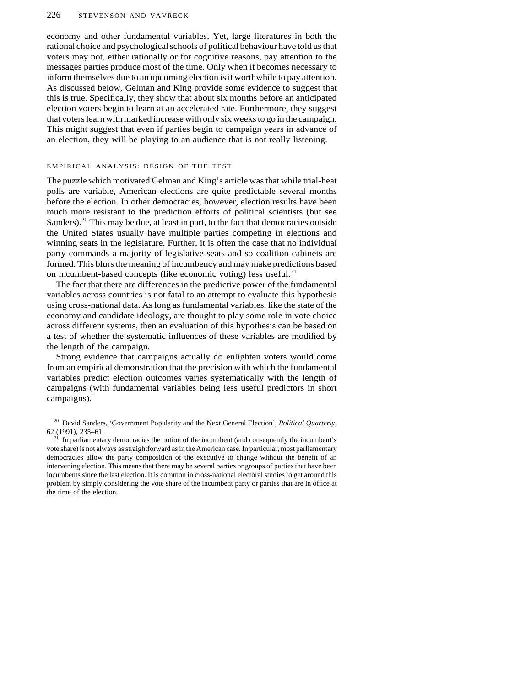#### 226 STEVENSON AND VAVRECK

economy and other fundamental variables. Yet, large literatures in both the rational choice and psychological schools of political behaviour have told us that voters may not, either rationally or for cognitive reasons, pay attention to the messages parties produce most of the time. Only when it becomes necessary to inform themselves due to an upcoming election is it worthwhile to pay attention. As discussed below, Gelman and King provide some evidence to suggest that this is true. Specifically, they show that about six months before an anticipated election voters begin to learn at an accelerated rate. Furthermore, they suggest that voters learn with marked increase with only six weeks to go in the campaign. This might suggest that even if parties begin to campaign years in advance of an election, they will be playing to an audience that is not really listening.

#### EMPIRICAL ANALYSIS: DESIGN OF THE TEST

The puzzle which motivated Gelman and King's article was that while trial-heat polls are variable, American elections are quite predictable several months before the election. In other democracies, however, election results have been much more resistant to the prediction efforts of political scientists (but see Sanders).<sup>20</sup> This may be due, at least in part, to the fact that democracies outside the United States usually have multiple parties competing in elections and winning seats in the legislature. Further, it is often the case that no individual party commands a majority of legislative seats and so coalition cabinets are formed. This blurs the meaning of incumbency and may make predictions based on incumbent-based concepts (like economic voting) less useful.<sup>21</sup>

The fact that there are differences in the predictive power of the fundamental variables across countries is not fatal to an attempt to evaluate this hypothesis using cross-national data. As long as fundamental variables, like the state of the economy and candidate ideology, are thought to play some role in vote choice across different systems, then an evaluation of this hypothesis can be based on a test of whether the systematic influences of these variables are modified by the length of the campaign.

Strong evidence that campaigns actually do enlighten voters would come from an empirical demonstration that the precision with which the fundamental variables predict election outcomes varies systematically with the length of campaigns (with fundamental variables being less useful predictors in short campaigns).

<sup>20</sup> David Sanders, 'Government Popularity and the Next General Election', *Political Quarterly*, 62 (1991), 235–61.

<sup>&</sup>lt;sup>21</sup> In parliamentary democracies the notion of the incumbent (and consequently the incumbent's vote share) is not always as straightforward as in the American case. In particular, most parliamentary democracies allow the party composition of the executive to change without the benefit of an intervening election. This means that there may be several parties or groups of parties that have been incumbents since the last election. It is common in cross-national electoral studies to get around this problem by simply considering the vote share of the incumbent party or parties that are in office at the time of the election.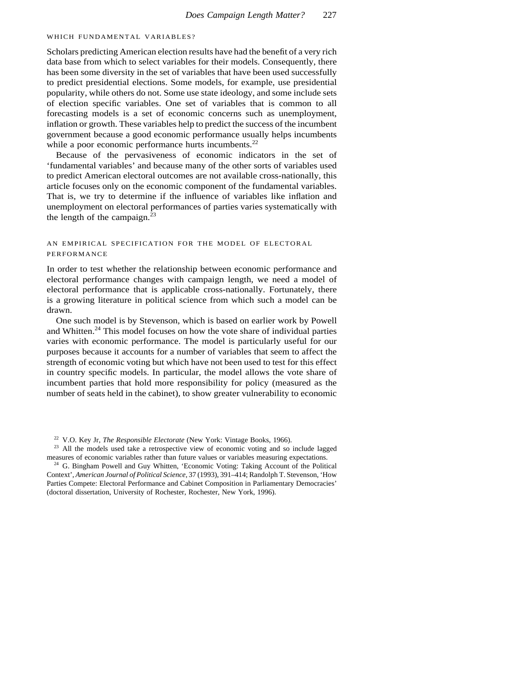#### WHICH FUNDAMENTAL VARIABLES?

Scholars predicting American election results have had the benefit of a very rich data base from which to select variables for their models. Consequently, there has been some diversity in the set of variables that have been used successfully to predict presidential elections. Some models, for example, use presidential popularity, while others do not. Some use state ideology, and some include sets of election specific variables. One set of variables that is common to all forecasting models is a set of economic concerns such as unemployment, inflation or growth. These variables help to predict the success of the incumbent government because a good economic performance usually helps incumbents while a poor economic performance hurts incumbents.<sup>22</sup>

Because of the pervasiveness of economic indicators in the set of 'fundamental variables' and because many of the other sorts of variables used to predict American electoral outcomes are not available cross-nationally, this article focuses only on the economic component of the fundamental variables. That is, we try to determine if the influence of variables like inflation and unemployment on electoral performances of parties varies systematically with the length of the campaign.<sup>23</sup>

### AN EMPIRICAL SPECIFICATION FOR THE MODEL OF ELECTORAL PERFORMANCE

In order to test whether the relationship between economic performance and electoral performance changes with campaign length, we need a model of electoral performance that is applicable cross-nationally. Fortunately, there is a growing literature in political science from which such a model can be drawn.

One such model is by Stevenson, which is based on earlier work by Powell and Whitten.<sup>24</sup> This model focuses on how the vote share of individual parties varies with economic performance. The model is particularly useful for our purposes because it accounts for a number of variables that seem to affect the strength of economic voting but which have not been used to test for this effect in country specific models. In particular, the model allows the vote share of incumbent parties that hold more responsibility for policy (measured as the number of seats held in the cabinet), to show greater vulnerability to economic

<sup>22</sup> V.O. Key Jr, *The Responsible Electorate* (New York: Vintage Books, 1966).

<sup>&</sup>lt;sup>23</sup> All the models used take a retrospective view of economic voting and so include lagged measures of economic variables rather than future values or variables measuring expectations.

<sup>&</sup>lt;sup>24</sup> G. Bingham Powell and Guy Whitten, 'Economic Voting: Taking Account of the Political Context', *American Journal of Political Science*, 37 (1993), 391–414; Randolph T. Stevenson, 'How Parties Compete: Electoral Performance and Cabinet Composition in Parliamentary Democracies' (doctoral dissertation, University of Rochester, Rochester, New York, 1996).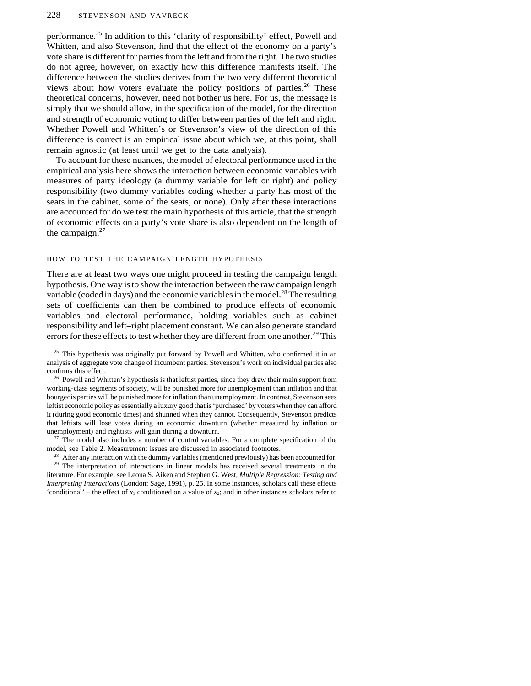## 228 STEVENSON AND VAVRECK

performance.25 In addition to this 'clarity of responsibility' effect, Powell and Whitten, and also Stevenson, find that the effect of the economy on a party's vote share is different for parties from the left and from the right. The two studies do not agree, however, on exactly how this difference manifests itself. The difference between the studies derives from the two very different theoretical views about how voters evaluate the policy positions of parties. $26$  These theoretical concerns, however, need not bother us here. For us, the message is simply that we should allow, in the specification of the model, for the direction and strength of economic voting to differ between parties of the left and right. Whether Powell and Whitten's or Stevenson's view of the direction of this difference is correct is an empirical issue about which we, at this point, shall remain agnostic (at least until we get to the data analysis).

To account for these nuances, the model of electoral performance used in the empirical analysis here shows the interaction between economic variables with measures of party ideology (a dummy variable for left or right) and policy responsibility (two dummy variables coding whether a party has most of the seats in the cabinet, some of the seats, or none). Only after these interactions are accounted for do we test the main hypothesis of this article, that the strength of economic effects on a party's vote share is also dependent on the length of the campaign.<sup>27</sup>

#### HOW TO TEST THE CAMPAIGN LENGTH HYPOTHESIS

There are at least two ways one might proceed in testing the campaign length hypothesis. One way is to show the interaction between the raw campaign length variable (coded in days) and the economic variables in the model.<sup>28</sup> The resulting sets of coefficients can then be combined to produce effects of economic variables and electoral performance, holding variables such as cabinet responsibility and left–right placement constant. We can also generate standard errors for these effects to test whether they are different from one another.<sup>29</sup> This

<sup>25</sup> This hypothesis was originally put forward by Powell and Whitten, who confirmed it in an analysis of aggregate vote change of incumbent parties. Stevenson's work on individual parties also confirms this effect.

<sup>26</sup> Powell and Whitten's hypothesis is that leftist parties, since they draw their main support from working-class segments of society, will be punished more for unemployment than inflation and that bourgeois parties will be punished more for inflation than unemployment. In contrast, Stevenson sees leftist economic policy as essentially a luxury good that is 'purchased' by voters when they can afford it (during good economic times) and shunned when they cannot. Consequently, Stevenson predicts that leftists will lose votes during an economic downturn (whether measured by inflation or unemployment) and rightists will gain during a downturn.

 $27$  The model also includes a number of control variables. For a complete specification of the model, see Table 2. Measurement issues are discussed in associated footnotes.

After any interaction with the dummy variables (mentioned previously) has been accounted for. <sup>29</sup> The interpretation of interactions in linear models has received several treatments in the

literature. For example, see Leona S. Aiken and Stephen G. West, *Multiple Regression: Testing and Interpreting Interactions* (London: Sage, 1991), p. 25. In some instances, scholars call these effects 'conditional' – the effect of  $x_1$  conditioned on a value of  $x_2$ ; and in other instances scholars refer to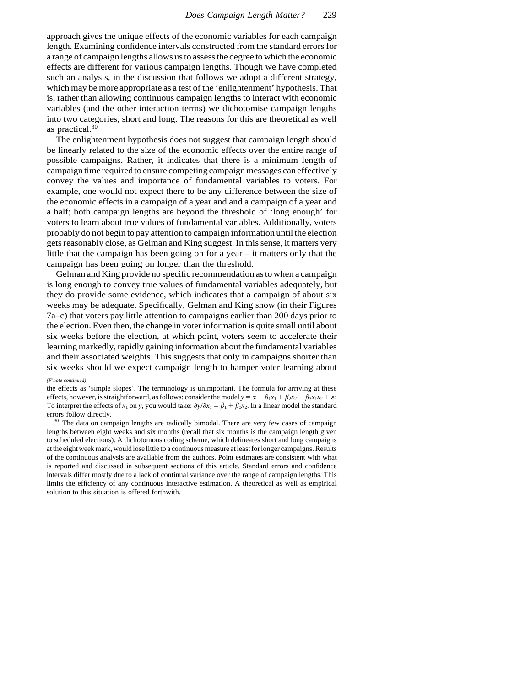approach gives the unique effects of the economic variables for each campaign length. Examining confidence intervals constructed from the standard errors for a range of campaign lengths allows us to assess the degree to which the economic effects are different for various campaign lengths. Though we have completed such an analysis, in the discussion that follows we adopt a different strategy, which may be more appropriate as a test of the 'enlightenment' hypothesis. That is, rather than allowing continuous campaign lengths to interact with economic variables (and the other interaction terms) we dichotomise campaign lengths into two categories, short and long. The reasons for this are theoretical as well as practical.<sup>30</sup>

The enlightenment hypothesis does not suggest that campaign length should be linearly related to the size of the economic effects over the entire range of possible campaigns. Rather, it indicates that there is a minimum length of campaign time required to ensure competing campaign messages can effectively convey the values and importance of fundamental variables to voters. For example, one would not expect there to be any difference between the size of the economic effects in a campaign of a year and and a campaign of a year and a half; both campaign lengths are beyond the threshold of 'long enough' for voters to learn about true values of fundamental variables. Additionally, voters probably do not begin to pay attention to campaign information until the election gets reasonably close, as Gelman and King suggest. In this sense, it matters very little that the campaign has been going on for a year – it matters only that the campaign has been going on longer than the threshold.

Gelman and King provide no specific recommendation as to when a campaign is long enough to convey true values of fundamental variables adequately, but they do provide some evidence, which indicates that a campaign of about six weeks may be adequate. Specifically, Gelman and King show (in their Figures 7a–c) that voters pay little attention to campaigns earlier than 200 days prior to the election. Even then, the change in voter information is quite small until about six weeks before the election, at which point, voters seem to accelerate their learning markedly, rapidly gaining information about the fundamental variables and their associated weights. This suggests that only in campaigns shorter than six weeks should we expect campaign length to hamper voter learning about

#### *(F'note continued)*

<sup>30</sup> The data on campaign lengths are radically bimodal. There are very few cases of campaign lengths between eight weeks and six months (recall that six months is the campaign length given to scheduled elections). A dichotomous coding scheme, which delineates short and long campaigns at the eight week mark, would lose little to a continuous measure at least for longer campaigns. Results of the continuous analysis are available from the authors. Point estimates are consistent with what is reported and discussed in subsequent sections of this article. Standard errors and confidence intervals differ mostly due to a lack of continual variance over the range of campaign lengths. This limits the efficiency of any continuous interactive estimation. A theoretical as well as empirical solution to this situation is offered forthwith.

the effects as 'simple slopes'. The terminology is unimportant. The formula for arriving at these effects, however, is straightforward, as follows: consider the model  $y = \alpha + \beta_1 x_1 + \beta_2 x_2 + \beta_3 x_1 x_2 + \varepsilon$ : To interpret the effects of  $x_1$  on *y*, you would take:  $\frac{\partial y}{\partial x_1} = \beta_1 + \beta_2 x_2$ . In a linear model the standard errors follow directly.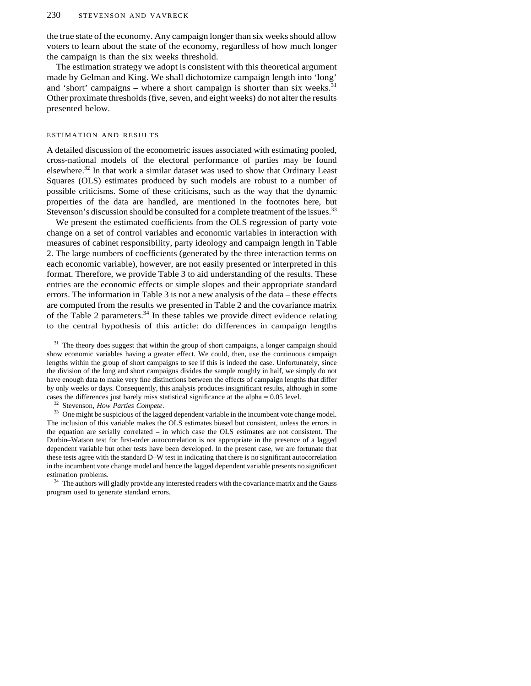the true state of the economy. Any campaign longer than six weeks should allow voters to learn about the state of the economy, regardless of how much longer the campaign is than the six weeks threshold.

The estimation strategy we adopt is consistent with this theoretical argument made by Gelman and King. We shall dichotomize campaign length into 'long' and 'short' campaigns – where a short campaign is shorter than six weeks.<sup>31</sup> Other proximate thresholds (five, seven, and eight weeks) do not alter the results presented below.

#### ESTIMATION AND RESULTS

A detailed discussion of the econometric issues associated with estimating pooled, cross-national models of the electoral performance of parties may be found elsewhere.<sup>32</sup> In that work a similar dataset was used to show that Ordinary Least Squares (OLS) estimates produced by such models are robust to a number of possible criticisms. Some of these criticisms, such as the way that the dynamic properties of the data are handled, are mentioned in the footnotes here, but Stevenson's discussion should be consulted for a complete treatment of the issues.<sup>33</sup>

We present the estimated coefficients from the OLS regression of party vote change on a set of control variables and economic variables in interaction with measures of cabinet responsibility, party ideology and campaign length in Table 2. The large numbers of coefficients (generated by the three interaction terms on each economic variable), however, are not easily presented or interpreted in this format. Therefore, we provide Table 3 to aid understanding of the results. These entries are the economic effects or simple slopes and their appropriate standard errors. The information in Table 3 is not a new analysis of the data – these effects are computed from the results we presented in Table 2 and the covariance matrix of the Table 2 parameters. $34$  In these tables we provide direct evidence relating to the central hypothesis of this article: do differences in campaign lengths

 $31$  The theory does suggest that within the group of short campaigns, a longer campaign should show economic variables having a greater effect. We could, then, use the continuous campaign lengths within the group of short campaigns to see if this is indeed the case. Unfortunately, since the division of the long and short campaigns divides the sample roughly in half, we simply do not have enough data to make very fine distinctions between the effects of campaign lengths that differ by only weeks or days. Consequently, this analysis produces insignificant results, although in some cases the differences just barely miss statistical significance at the alpha  $= 0.05$  level.

<sup>32</sup> Stevenson, *How Parties Compete*.

<sup>33</sup> One might be suspicious of the lagged dependent variable in the incumbent vote change model. The inclusion of this variable makes the OLS estimates biased but consistent, unless the errors in the equation are serially correlated – in which case the OLS estimates are not consistent. The Durbin–Watson test for first-order autocorrelation is not appropriate in the presence of a lagged dependent variable but other tests have been developed. In the present case, we are fortunate that these tests agree with the standard D–W test in indicating that there is no significant autocorrelation in the incumbent vote change model and hence the lagged dependent variable presents no significant estimation problems.

<sup>34</sup> The authors will gladly provide any interested readers with the covariance matrix and the Gauss program used to generate standard errors.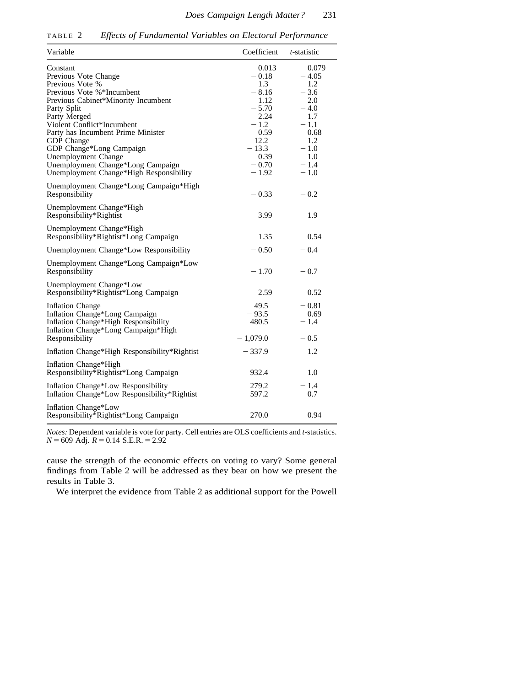| Variable                                                                                                                                                                                                                                                                                                                                                                                  | Coefficient                                                                                                                      | <i>t</i> -statistic                                                                                                     |
|-------------------------------------------------------------------------------------------------------------------------------------------------------------------------------------------------------------------------------------------------------------------------------------------------------------------------------------------------------------------------------------------|----------------------------------------------------------------------------------------------------------------------------------|-------------------------------------------------------------------------------------------------------------------------|
| Constant<br>Previous Vote Change<br>Previous Vote %<br>Previous Vote %*Incumbent<br>Previous Cabinet*Minority Incumbent<br>Party Split<br>Party Merged<br>Violent Conflict*Incumbent<br>Party has Incumbent Prime Minister<br><b>GDP</b> Change<br>GDP Change*Long Campaign<br><b>Unemployment Change</b><br>Unemployment Change*Long Campaign<br>Unemployment Change*High Responsibility | 0.013<br>$-0.18$<br>1.3<br>$-8.16$<br>1.12<br>$-5.70$<br>2.24<br>$-1.2$<br>0.59<br>12.2<br>$-13.3$<br>0.39<br>$-0.70$<br>$-1.92$ | 0.079<br>$-4.05$<br>1.2<br>$-3.6$<br>2.0<br>$-4.0$<br>1.7<br>$-1.1$<br>0.68<br>1.2<br>$-1.0$<br>1.0<br>$-1.4$<br>$-1.0$ |
| Unemployment Change*Long Campaign*High<br>Responsibility                                                                                                                                                                                                                                                                                                                                  | $-0.33$                                                                                                                          | $-0.2$                                                                                                                  |
| Unemployment Change*High<br>Responsibility*Rightist                                                                                                                                                                                                                                                                                                                                       | 3.99                                                                                                                             | 1.9                                                                                                                     |
| Unemployment Change*High<br>Responsibility*Rightist*Long Campaign                                                                                                                                                                                                                                                                                                                         | 1.35                                                                                                                             | 0.54                                                                                                                    |
| Unemployment Change*Low Responsibility                                                                                                                                                                                                                                                                                                                                                    | $-0.50$                                                                                                                          | $-0.4$                                                                                                                  |
| Unemployment Change*Long Campaign*Low<br>Responsibility                                                                                                                                                                                                                                                                                                                                   | $-1.70$                                                                                                                          | $-0.7$                                                                                                                  |
| Unemployment Change*Low<br>Responsibility*Rightist*Long Campaign                                                                                                                                                                                                                                                                                                                          | 2.59                                                                                                                             | 0.52                                                                                                                    |
| <b>Inflation Change</b><br>Inflation Change*Long Campaign<br>Inflation Change*High Responsibility<br>Inflation Change*Long Campaign*High<br>Responsibility                                                                                                                                                                                                                                | 49.5<br>$-93.5$<br>480.5<br>$-1,079.0$                                                                                           | $-0.81$<br>0.69<br>$-1.4$<br>$-0.5$                                                                                     |
| Inflation Change*High Responsibility*Rightist                                                                                                                                                                                                                                                                                                                                             | $-337.9$                                                                                                                         | 1.2                                                                                                                     |
| Inflation Change*High                                                                                                                                                                                                                                                                                                                                                                     |                                                                                                                                  |                                                                                                                         |
| Responsibility*Rightist*Long Campaign                                                                                                                                                                                                                                                                                                                                                     | 932.4                                                                                                                            | 1.0                                                                                                                     |
| Inflation Change*Low Responsibility<br>Inflation Change*Low Responsibility*Rightist                                                                                                                                                                                                                                                                                                       | 279.2<br>$-597.2$                                                                                                                | $-1.4$<br>0.7                                                                                                           |
| Inflation Change*Low<br>Responsibility*Rightist*Long Campaign                                                                                                                                                                                                                                                                                                                             | 270.0                                                                                                                            | 0.94                                                                                                                    |

TABLE 2 *Effects of Fundamental Variables on Electoral Performance*

*Notes:* Dependent variable is vote for party. Cell entries are OLS coefficients and *t*-statistics.  $N = 609$  Adj.  $R = 0.14$  S.E.R. = 2.92

cause the strength of the economic effects on voting to vary? Some general findings from Table 2 will be addressed as they bear on how we present the results in Table 3.

We interpret the evidence from Table 2 as additional support for the Powell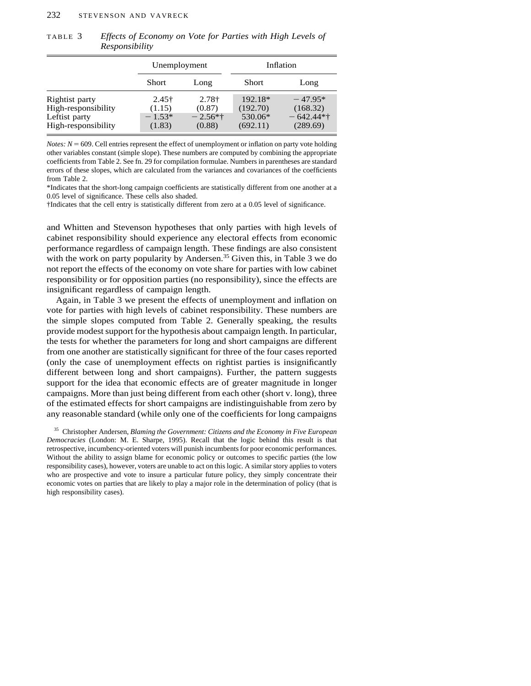| TABLE 3 | Effects of Economy on Vote for Parties with High Levels of |
|---------|------------------------------------------------------------|
|         | <i>Responsibility</i>                                      |

|                                                                               | Unemployment                                  |                                       | Inflation                                  |                                                  |
|-------------------------------------------------------------------------------|-----------------------------------------------|---------------------------------------|--------------------------------------------|--------------------------------------------------|
|                                                                               | <b>Short</b>                                  | Long                                  | <b>Short</b>                               | Long                                             |
| Rightist party<br>High-responsibility<br>Leftist party<br>High-responsibility | $2.45\dagger$<br>(1.15)<br>$-1.53*$<br>(1.83) | 2.78†<br>(0.87)<br>$-2.56*$<br>(0.88) | 192.18*<br>(192.70)<br>530.06*<br>(692.11) | $-47.95*$<br>(168.32)<br>$-642.44**$<br>(289.69) |

*Notes:*  $N = 609$ . Cell entries represent the effect of unemployment or inflation on party vote holding other variables constant (simple slope). These numbers are computed by combining the appropriate coefficients from Table 2. See fn. 29 for compilation formulae. Numbers in parentheses are standard errors of these slopes, which are calculated from the variances and covariances of the coefficients from Table 2.

\*Indicates that the short-long campaign coefficients are statistically different from one another at a 0.05 level of significance. These cells also shaded.

†Indicates that the cell entry is statistically different from zero at a 0.05 level of significance.

and Whitten and Stevenson hypotheses that only parties with high levels of cabinet responsibility should experience any electoral effects from economic performance regardless of campaign length. These findings are also consistent with the work on party popularity by Andersen.<sup>35</sup> Given this, in Table 3 we do not report the effects of the economy on vote share for parties with low cabinet responsibility or for opposition parties (no responsibility), since the effects are insignificant regardless of campaign length.

Again, in Table 3 we present the effects of unemployment and inflation on vote for parties with high levels of cabinet responsibility. These numbers are the simple slopes computed from Table 2. Generally speaking, the results provide modest support for the hypothesis about campaign length. In particular, the tests for whether the parameters for long and short campaigns are different from one another are statistically significant for three of the four cases reported (only the case of unemployment effects on rightist parties is insignificantly different between long and short campaigns). Further, the pattern suggests support for the idea that economic effects are of greater magnitude in longer campaigns. More than just being different from each other (short v. long), three of the estimated effects for short campaigns are indistinguishable from zero by any reasonable standard (while only one of the coefficients for long campaigns

<sup>35</sup> Christopher Andersen, *Blaming the Government: Citizens and the Economy in Five European Democracies* (London: M. E. Sharpe, 1995). Recall that the logic behind this result is that retrospective, incumbency-oriented voters will punish incumbents for poor economic performances. Without the ability to assign blame for economic policy or outcomes to specific parties (the low responsibility cases), however, voters are unable to act on this logic. A similar story applies to voters who are prospective and vote to insure a particular future policy, they simply concentrate their economic votes on parties that are likely to play a major role in the determination of policy (that is high responsibility cases).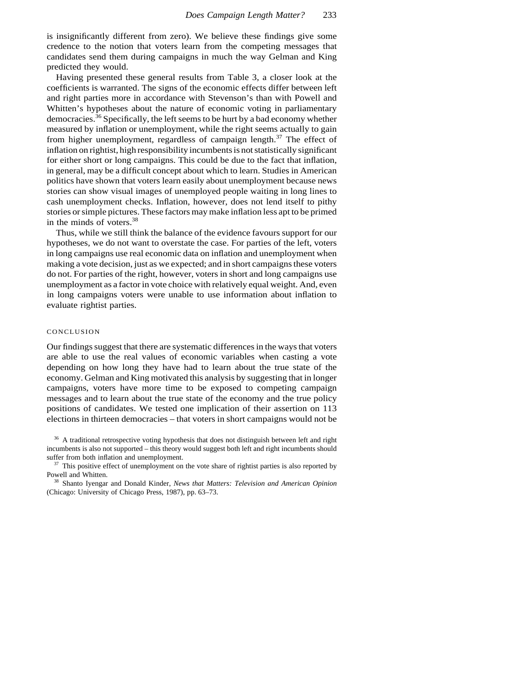is insignificantly different from zero). We believe these findings give some credence to the notion that voters learn from the competing messages that candidates send them during campaigns in much the way Gelman and King predicted they would.

Having presented these general results from Table 3, a closer look at the coefficients is warranted. The signs of the economic effects differ between left and right parties more in accordance with Stevenson's than with Powell and Whitten's hypotheses about the nature of economic voting in parliamentary democracies.36 Specifically, the left seems to be hurt by a bad economy whether measured by inflation or unemployment, while the right seems actually to gain from higher unemployment, regardless of campaign length.<sup>37</sup> The effect of inflation on rightist, high responsibility incumbents is not statistically significant for either short or long campaigns. This could be due to the fact that inflation, in general, may be a difficult concept about which to learn. Studies in American politics have shown that voters learn easily about unemployment because news stories can show visual images of unemployed people waiting in long lines to cash unemployment checks. Inflation, however, does not lend itself to pithy stories or simple pictures. These factors may make inflation less apt to be primed in the minds of voters.<sup>38</sup>

Thus, while we still think the balance of the evidence favours support for our hypotheses, we do not want to overstate the case. For parties of the left, voters in long campaigns use real economic data on inflation and unemployment when making a vote decision, just as we expected; and in short campaigns these voters do not. For parties of the right, however, voters in short and long campaigns use unemployment as a factor in vote choice with relatively equal weight. And, even in long campaigns voters were unable to use information about inflation to evaluate rightist parties.

#### CONCLUSION

Our findings suggest that there are systematic differences in the ways that voters are able to use the real values of economic variables when casting a vote depending on how long they have had to learn about the true state of the economy. Gelman and King motivated this analysis by suggesting that in longer campaigns, voters have more time to be exposed to competing campaign messages and to learn about the true state of the economy and the true policy positions of candidates. We tested one implication of their assertion on 113 elections in thirteen democracies – that voters in short campaigns would not be

<sup>36</sup> A traditional retrospective voting hypothesis that does not distinguish between left and right incumbents is also not supported – this theory would suggest both left and right incumbents should suffer from both inflation and unemployment.

<sup>37</sup> This positive effect of unemployment on the vote share of rightist parties is also reported by Powell and Whitten.

<sup>38</sup> Shanto Iyengar and Donald Kinder, *News that Matters: Television and American Opinion* (Chicago: University of Chicago Press, 1987), pp. 63–73.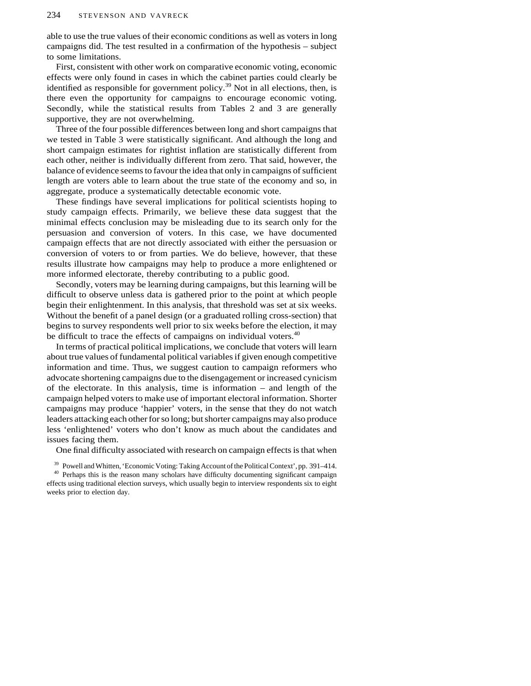able to use the true values of their economic conditions as well as voters in long campaigns did. The test resulted in a confirmation of the hypothesis – subject to some limitations.

First, consistent with other work on comparative economic voting, economic effects were only found in cases in which the cabinet parties could clearly be identified as responsible for government policy.<sup>39</sup> Not in all elections, then, is there even the opportunity for campaigns to encourage economic voting. Secondly, while the statistical results from Tables 2 and 3 are generally supportive, they are not overwhelming.

Three of the four possible differences between long and short campaigns that we tested in Table 3 were statistically significant. And although the long and short campaign estimates for rightist inflation are statistically different from each other, neither is individually different from zero. That said, however, the balance of evidence seems to favour the idea that only in campaigns of sufficient length are voters able to learn about the true state of the economy and so, in aggregate, produce a systematically detectable economic vote.

These findings have several implications for political scientists hoping to study campaign effects. Primarily, we believe these data suggest that the minimal effects conclusion may be misleading due to its search only for the persuasion and conversion of voters. In this case, we have documented campaign effects that are not directly associated with either the persuasion or conversion of voters to or from parties. We do believe, however, that these results illustrate how campaigns may help to produce a more enlightened or more informed electorate, thereby contributing to a public good.

Secondly, voters may be learning during campaigns, but this learning will be difficult to observe unless data is gathered prior to the point at which people begin their enlightenment. In this analysis, that threshold was set at six weeks. Without the benefit of a panel design (or a graduated rolling cross-section) that begins to survey respondents well prior to six weeks before the election, it may be difficult to trace the effects of campaigns on individual voters.<sup>40</sup>

In terms of practical political implications, we conclude that voters will learn about true values of fundamental political variables if given enough competitive information and time. Thus, we suggest caution to campaign reformers who advocate shortening campaigns due to the disengagement or increased cynicism of the electorate. In this analysis, time is information – and length of the campaign helped voters to make use of important electoral information. Shorter campaigns may produce 'happier' voters, in the sense that they do not watch leaders attacking each other for so long; but shorter campaigns may also produce less 'enlightened' voters who don't know as much about the candidates and issues facing them.

One final difficulty associated with research on campaign effects is that when

<sup>39</sup> Powell and Whitten, 'Economic Voting: Taking Account of the Political Context', pp. 391-414.

<sup>40</sup> Perhaps this is the reason many scholars have difficulty documenting significant campaign effects using traditional election surveys, which usually begin to interview respondents six to eight weeks prior to election day.